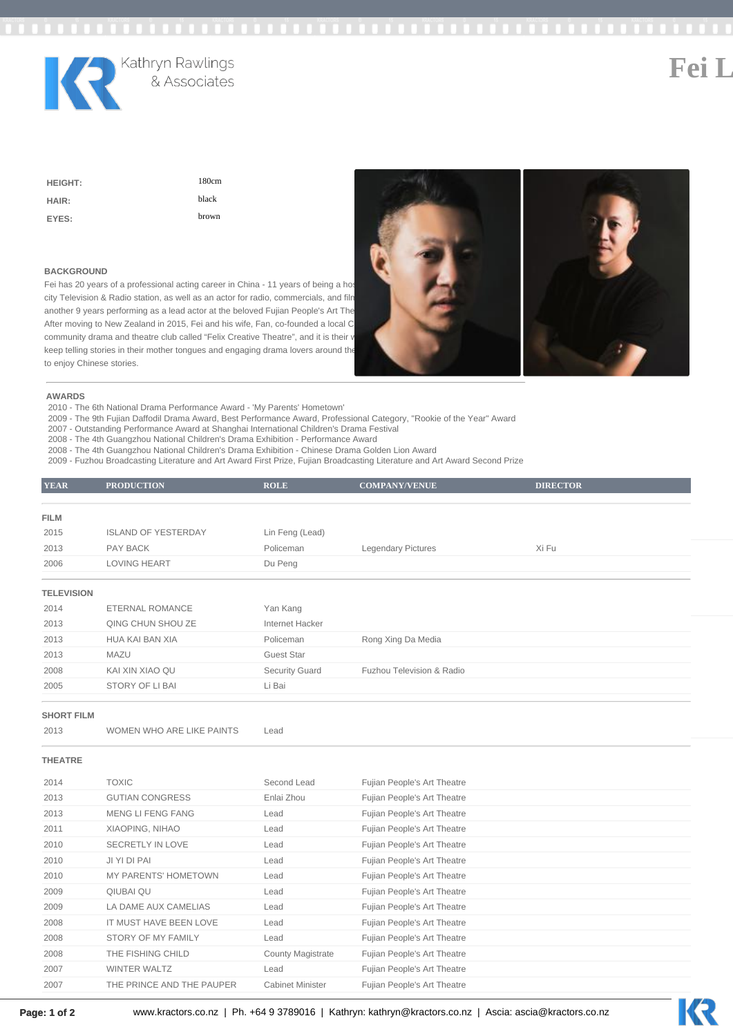

Kathryn Rawlings<br>& Associates

**Fei Li**

| <b>HEIGHT:</b> | 180cm |
|----------------|-------|
| HAIR:          | black |
| EYES:          | brown |

### **BACKGROUND**

Fei has 20 years of a professional acting career in China - 11 years of being a host city Television & Radio station, as well as an actor for radio, commercials, and filn another 9 years performing as a lead actor at the beloved Fujian People's Art The After moving to New Zealand in 2015, Fei and his wife, Fan, co-founded a local C community drama and theatre club called "Felix Creative Theatre", and it is their v keep telling stories in their mother tongues and engaging drama lovers around the to enjoy Chinese stories.



### **AWARDS**

2010 - The 6th National Drama Performance Award - 'My Parents' Hometown'

2009 - The 9th Fujian Daffodil Drama Award, Best Performance Award, Professional Category, "Rookie of the Year" Award

2007 - Outstanding Performance Award at Shanghai International Children's Drama Festival

2008 - The 4th Guangzhou National Children's Drama Exhibition - Performance Award 2008 - The 4th Guangzhou National Children's Drama Exhibition - Chinese Drama Golden Lion Award

2009 - Fuzhou Broadcasting Literature and Art Award First Prize, Fujian Broadcasting Literature and Art Award Second Prize

| <b>YEAR</b>       | <b>PRODUCTION</b>          | <b>ROLE</b>           | <b>COMPANY/VENUE</b>      | <b>DIRECTOR</b> |  |
|-------------------|----------------------------|-----------------------|---------------------------|-----------------|--|
|                   |                            |                       |                           |                 |  |
| <b>FILM</b>       |                            |                       |                           |                 |  |
| 2015              | <b>ISLAND OF YESTERDAY</b> | Lin Feng (Lead)       |                           |                 |  |
| 2013              | PAY BACK                   | Policeman             | <b>Legendary Pictures</b> | Xi Fu           |  |
| 2006              | LOVING HEART               | Du Peng               |                           |                 |  |
|                   |                            |                       |                           |                 |  |
| <b>TELEVISION</b> |                            |                       |                           |                 |  |
| 2014              | ETERNAL ROMANCE            | Yan Kang              |                           |                 |  |
| 2013              | QING CHUN SHOU ZE          | Internet Hacker       |                           |                 |  |
| 2013              | HUA KAI BAN XIA            | Policeman             | Rong Xing Da Media        |                 |  |
| 2013              | MAZU                       | Guest Star            |                           |                 |  |
| 2008              | KAI XIN XIAO QU            | <b>Security Guard</b> | Fuzhou Television & Radio |                 |  |
| 2005              | STORY OF LIBAI             | Li Bai                |                           |                 |  |
|                   |                            |                       |                           |                 |  |

### **SHORT FILM**

2013 WOMEN WHO ARE LIKE PAINTS Lead

## **THEATRE**

| 2014 | <b>TOXIC</b>                | Second Lead              | Fujian People's Art Theatre |
|------|-----------------------------|--------------------------|-----------------------------|
| 2013 | <b>GUTIAN CONGRESS</b>      | Enlai Zhou               | Fujian People's Art Theatre |
| 2013 | MENG LI FENG FANG           | Lead                     | Fujian People's Art Theatre |
| 2011 | XIAOPING, NIHAO             | Lead                     | Fujian People's Art Theatre |
| 2010 | SECRETLY IN LOVE            | Lead                     | Fujian People's Art Theatre |
| 2010 | JI YI DI PAI                | Lead                     | Fujian People's Art Theatre |
| 2010 | <b>MY PARENTS' HOMETOWN</b> | Lead                     | Fujian People's Art Theatre |
| 2009 | QIUBAI QU                   | Lead                     | Fujian People's Art Theatre |
| 2009 | LA DAME AUX CAMELIAS        | Lead                     | Fujian People's Art Theatre |
| 2008 | IT MUST HAVE BEEN LOVE      | Lead                     | Fujian People's Art Theatre |
| 2008 | STORY OF MY FAMILY          | Lead                     | Fujian People's Art Theatre |
| 2008 | THE FISHING CHILD           | <b>County Magistrate</b> | Fujian People's Art Theatre |
| 2007 | WINTER WALTZ                | Lead                     | Fujian People's Art Theatre |
| 2007 | THE PRINCE AND THE PAUPER   | <b>Cabinet Minister</b>  | Fujian People's Art Theatre |